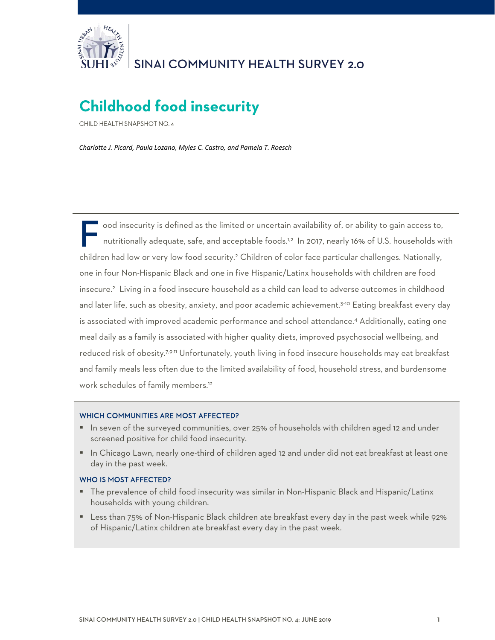

# **Childhood food insecurity**

CHILD HEALTH SNAPSHOT NO. 4

*Charlotte J. Picard, Paula Lozano, Myles C. Castro, and Pamela T. Roesch*

 ood insecurity is defined as the limited or uncertain availability of, or ability to gain access to, nutritionally adequate, safe, and acceptable foods.<sup>1,2</sup> In 2017, nearly 16% of U.S. households with children had low or very low food security.<sup>2</sup> Children of color face particular challenges. Nationally, one in four Non-Hispanic Black and one in five Hispanic/Latinx households with children are food insecure.2 Living in a food insecure household as a child can lead to adverse outcomes in childhood and later life, such as obesity, anxiety, and poor academic achievement.3-10 Eating breakfast every day is associated with improved academic performance and school attendance.4 Additionally, eating one meal daily as a family is associated with higher quality diets, improved psychosocial wellbeing, and reduced risk of obesity.7,9,11 Unfortunately, youth living in food insecure households may eat breakfast and family meals less often due to the limited availability of food, household stress, and burdensome work schedules of family members.12 F or

#### WHICH COMMUNITIES ARE MOST AFFECTED?

- In seven of the surveyed communities, over 25% of households with children aged 12 and under screened positive for child food insecurity.
- In Chicago Lawn, nearly one-third of children aged 12 and under did not eat breakfast at least one day in the past week.

#### WHO IS MOST AFFECTED?

- The prevalence of child food insecurity was similar in Non-Hispanic Black and Hispanic/Latinx households with young children.
- Less than 75% of Non-Hispanic Black children ate breakfast every day in the past week while 92% of Hispanic/Latinx children ate breakfast every day in the past week.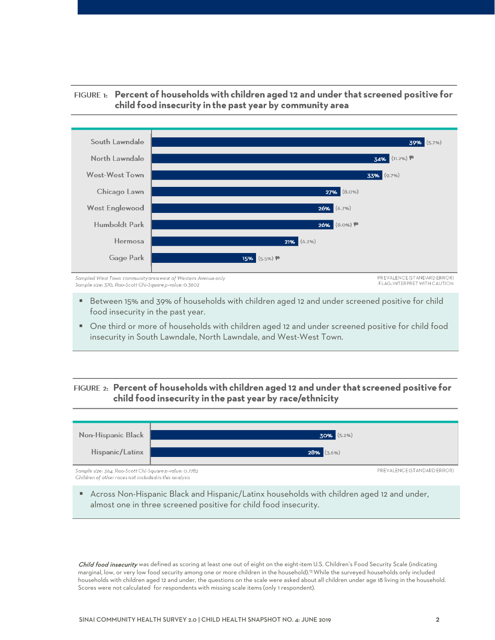



- Between 15% and 39% of households with children aged 12 and under screened positive for child food insecurity in the past year.
- One third or more of households with children aged 12 and under screened positive for child food insecurity in South Lawndale, North Lawndale, and West-West Town.

### FIGURE 2: Percent of households with children aged 12 and under that screened positive for child food insecurity in the past year by race/ethnicity



 Across Non-Hispanic Black and Hispanic/Latinx households with children aged 12 and under, almost one in three screened positive for child food insecurity.

Child food insecurity was defined as scoring at least one out of eight on the eight-item U.S. Children's Food Security Scale (indicating marginal, low, or very low food security among one or more children in the household).13 While the surveyed households only included households with children aged 12 and under, the questions on the scale were asked about all children under age 18 living in the household. Scores were not calculated for respondents with missing scale items (only 1 respondent).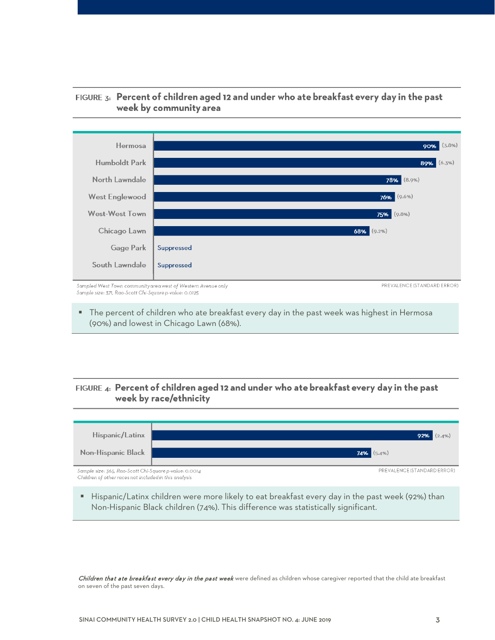

## FIGURE 3: Percent of children aged 12 and under who ate breakfast every day in the past week by community area

Sample size: 371, Rao-Scott Chi-Square p-value: 0.0125

 The percent of children who ate breakfast every day in the past week was highest in Hermosa (90%) and lowest in Chicago Lawn (68%).

# FIGURE 4: Percent of children aged 12 and under who ate breakfast every day in the past week by race/ethnicity



 $\blacksquare$  Hispanic/Latinx children were more likely to eat breakfast every day in the past week (92%) than Non-Hispanic Black children (74%). This difference was statistically significant.

Children that ate breakfast every day in the past week were defined as children whose caregiver reported that the child ate breakfast on seven of the past seven days.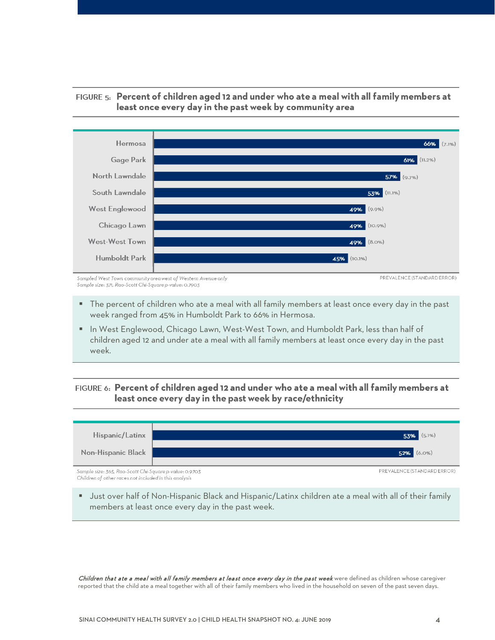

## FIGURE 5: Percent of children aged 12 and under who ate a meal with all family members at least once every day in the past week by community area

Sampled West Town community area west of Western Avenue only Sample size: 371, Rao-Scott Chi-Square p-value: 0.7903

- The percent of children who ate a meal with all family members at least once every day in the past week ranged from 45% in Humboldt Park to 66% in Hermosa.
- **In West Englewood, Chicago Lawn, West-West Town, and Humboldt Park, less than half of** children aged 12 and under ate a meal with all family members at least once every day in the past week.

## FIGURE 6: Percent of children aged 12 and under who ate a meal with all family members at least once every day in the past week by race/ethnicity



 Just over half of Non-Hispanic Black and Hispanic/Latinx children ate a meal with all of their family members at least once every day in the past week.

Children that ate a meal with all family members at least once every day in the past week were defined as children whose caregiver reported that the child ate a meal together with all of their family members who lived in the household on seven of the past seven days.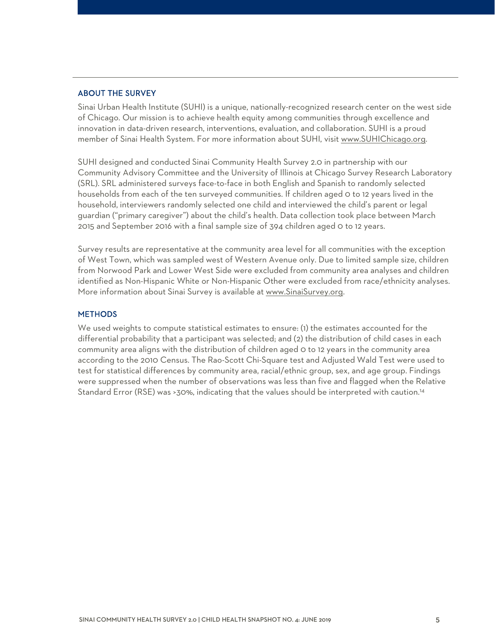#### ABOUT THE SURVEY

Sinai Urban Health Institute (SUHI) is a unique, nationally-recognized research center on the west side of Chicago. Our mission is to achieve health equity among communities through excellence and innovation in data-driven research, interventions, evaluation, and collaboration. SUHI is a proud member of Sinai Health System. For more information about SUHI, visit [www.SUHIChicago.org.](http://www.suhichicago.org/)

SUHI designed and conducted Sinai Community Health Survey 2.0 in partnership with our Community Advisory Committee and the University of Illinois at Chicago Survey Research Laboratory (SRL). SRL administered surveys face-to-face in both English and Spanish to randomly selected households from each of the ten surveyed communities. If children aged 0 to 12 years lived in the household, interviewers randomly selected one child and interviewed the child's parent or legal guardian ("primary caregiver") about the child's health. Data collection took place between March 2015 and September 2016 with a final sample size of 394 children aged 0 to 12 years.

Survey results are representative at the community area level for all communities with the exception of West Town, which was sampled west of Western Avenue only. Due to limited sample size, children from Norwood Park [and Lower West Side](http://www.sinaisurvey.org/) were excluded from community area analyses and children identified as Non-Hispanic White or Non-Hispanic Other were excluded from race/ethnicity analyses. More information about Sinai Survey is available at www.SinaiSurvey.org.

#### **METHODS**

We used weights to compute statistical estimates to ensure: (1) the estimates accounted for the differential probability that a participant was selected; and (2) the distribution of child cases in each community area aligns with the distribution of children aged 0 to 12 years in the community area according to the 2010 Census. The Rao-Scott Chi-Square test and Adjusted Wald Test were used to test for statistical differences by community area, racial/ethnic group, sex, and age group. Findings were suppressed when the number of observations was less than five and flagged when the Relative Standard Error (RSE) was >30%, indicating that the values should be interpreted with caution.14